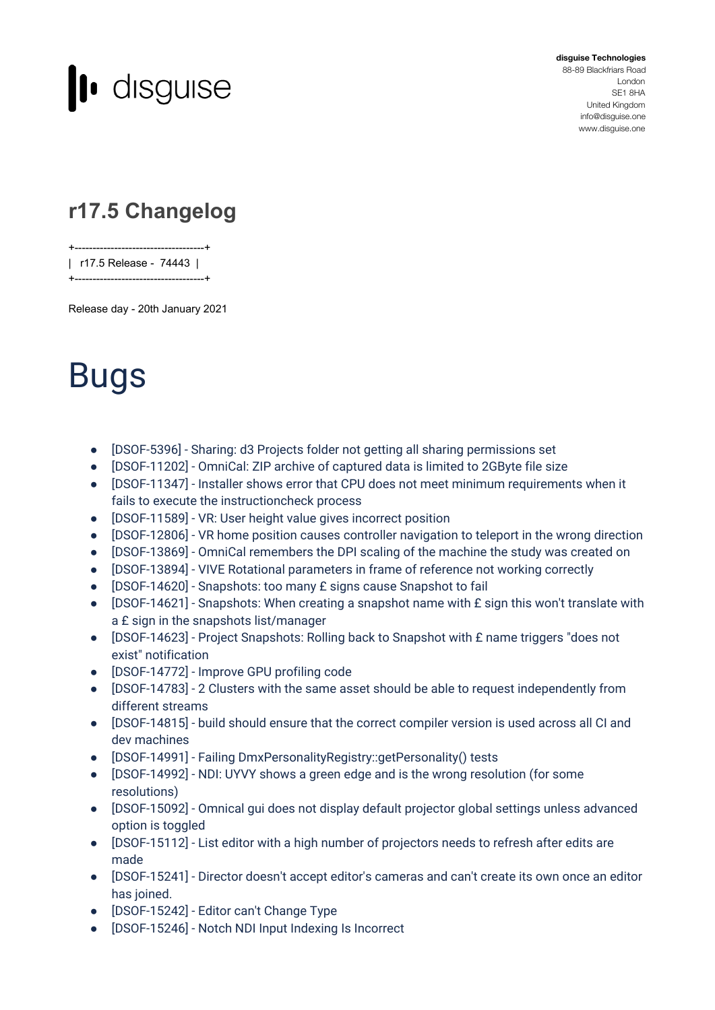

**disguise Technologies** 88-89 Blackfriars Road London SE1 8HA United Kingdom [info@disguise.one](mailto:info@disguise.one?subject=)

www.disguise.one

## **r17.5 Changelog**

+------------------------------------+ | r17.5 Release - 74443 | +------------------------------------+

Release day - 20th January 2021

## Bugs

- [DSOF-5396] Sharing: d3 Projects folder not getting all sharing permissions set
- [DSOF-11202] OmniCal: ZIP archive of captured data is limited to 2GByte file size
- [DSOF-11347] Installer shows error that CPU does not meet minimum requirements when it fails to execute the instructioncheck process
- [DSOF-11589] VR: User height value gives incorrect position
- [DSOF-12806] VR home position causes controller navigation to teleport in the wrong direction
- [DSOF-13869] OmniCal remembers the DPI scaling of the machine the study was created on
- [DSOF-13894] VIVE Rotational parameters in frame of reference not working correctly
- [DSOF-14620] Snapshots: too many £ signs cause Snapshot to fail
- [DSOF-14621] Snapshots: When creating a snapshot name with £ sign this won't translate with a £ sign in the snapshots list/manager
- [DSOF-14623] Project Snapshots: Rolling back to Snapshot with £ name triggers "does not exist" notification
- [DSOF-14772] Improve GPU profiling code
- [DSOF-14783] 2 Clusters with the same asset should be able to request independently from different streams
- [DSOF-14815] build should ensure that the correct compiler version is used across all CI and dev machines
- [DSOF-14991] Failing DmxPersonalityRegistry::getPersonality() tests
- [DSOF-14992] NDI: UYVY shows a green edge and is the wrong resolution (for some resolutions)
- [DSOF-15092] Omnical gui does not display default projector global settings unless advanced option is toggled
- [DSOF-15112] List editor with a high number of projectors needs to refresh after edits are made
- [DSOF-15241] Director doesn't accept editor's cameras and can't create its own once an editor has joined.
- [DSOF-15242] Editor can't Change Type
- [DSOF-15246] Notch NDI Input Indexing Is Incorrect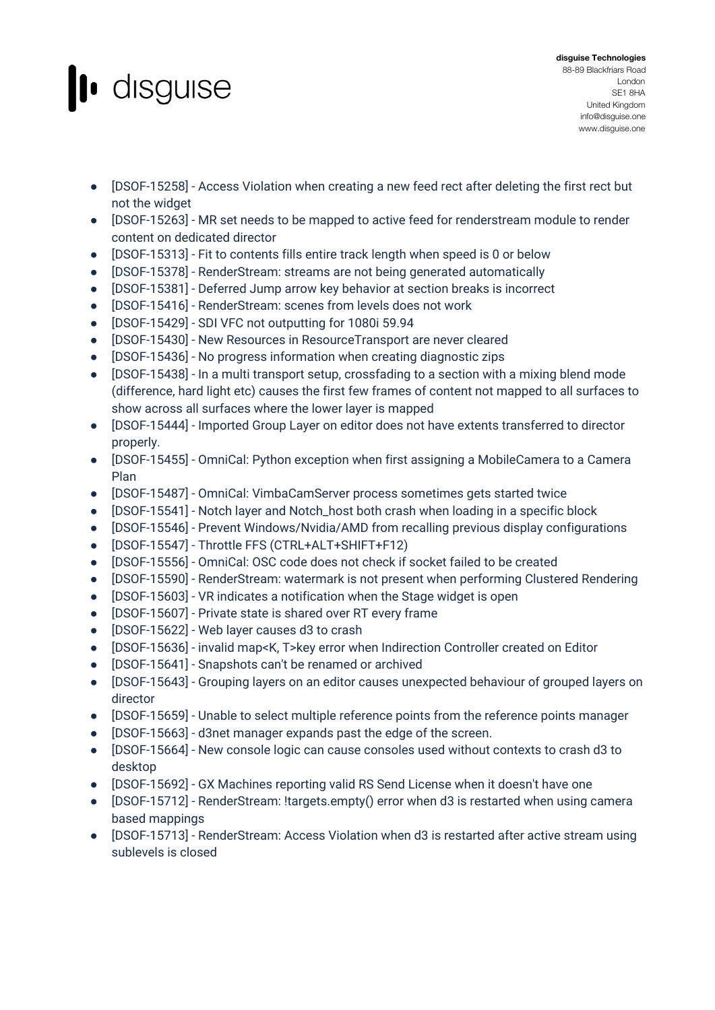## l disguise

- [DSOF-15258] Access Violation when creating a new feed rect after deleting the first rect but not the widget
- [DSOF-15263] MR set needs to be mapped to active feed for renderstream module to render content on dedicated director
- [DSOF-15313] Fit to contents fills entire track length when speed is 0 or below
- [DSOF-15378] RenderStream: streams are not being generated automatically
- [DSOF-15381] Deferred Jump arrow key behavior at section breaks is incorrect
- [DSOF-15416] RenderStream: scenes from levels does not work
- [DSOF-15429] SDI VFC not outputting for 1080i 59.94
- [DSOF-15430] New Resources in ResourceTransport are never cleared
- [DSOF-15436] No progress information when creating diagnostic zips
- [DSOF-15438] In a multi transport setup, crossfading to a section with a mixing blend mode (difference, hard light etc) causes the first few frames of content not mapped to all surfaces to show across all surfaces where the lower layer is mapped
- [DSOF-15444] Imported Group Layer on editor does not have extents transferred to director properly.
- [DSOF-15455] OmniCal: Python exception when first assigning a MobileCamera to a Camera Plan
- [DSOF-15487] OmniCal: VimbaCamServer process sometimes gets started twice
- [DSOF-15541] Notch layer and Notch\_host both crash when loading in a specific block
- [DSOF-15546] Prevent Windows/Nvidia/AMD from recalling previous display configurations
- [DSOF-15547] Throttle FFS (CTRL+ALT+SHIFT+F12)
- [DSOF-15556] OmniCal: OSC code does not check if socket failed to be created
- [DSOF-15590] RenderStream: watermark is not present when performing Clustered Rendering
- [DSOF-15603] VR indicates a notification when the Stage widget is open
- [DSOF-15607] Private state is shared over RT every frame
- [DSOF-15622] Web layer causes d3 to crash
- [DSOF-15636] invalid map<K, T>key error when Indirection Controller created on Editor
- [DSOF-15641] Snapshots can't be renamed or archived
- [DSOF-15643] Grouping layers on an editor causes unexpected behaviour of grouped layers on director
- [DSOF-15659] Unable to select multiple reference points from the reference points manager
- [DSOF-15663] d3net manager expands past the edge of the screen.
- [DSOF-15664] New console logic can cause consoles used without contexts to crash d3 to desktop
- [DSOF-15692] GX Machines reporting valid RS Send License when it doesn't have one
- [DSOF-15712] RenderStream: !targets.empty() error when d3 is restarted when using camera based mappings
- [DSOF-15713] RenderStream: Access Violation when d3 is restarted after active stream using sublevels is closed